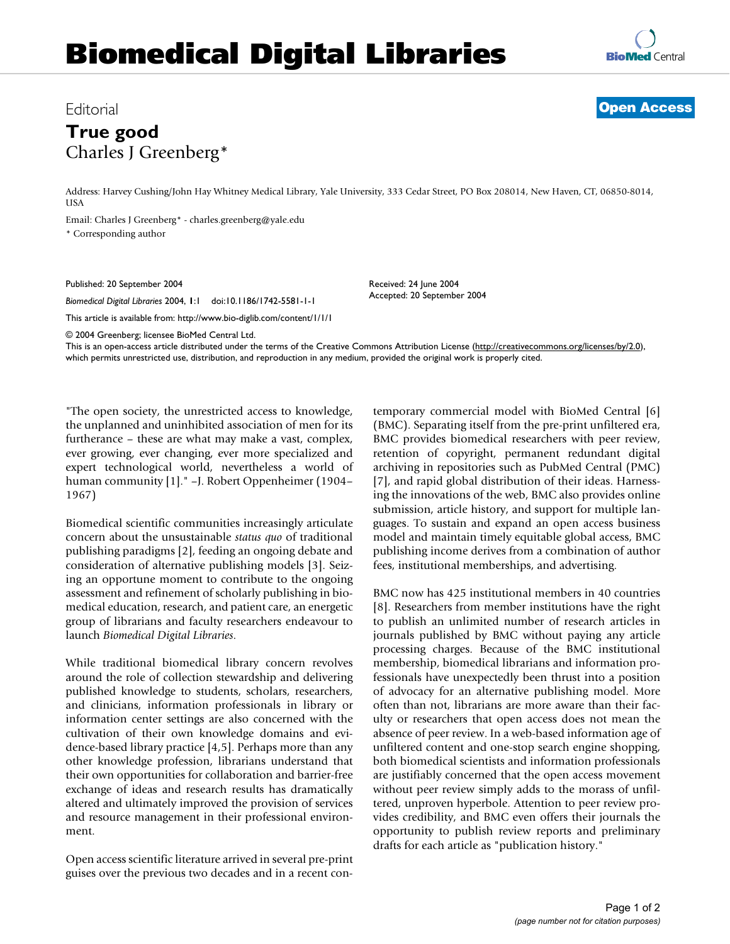## **Biomedical Digital Libraries**



## Editorial **Open Access**

## **True good** Charles J Greenberg\*

Address: Harvey Cushing/John Hay Whitney Medical Library, Yale University, 333 Cedar Street, PO Box 208014, New Haven, CT, 06850-8014, USA

Email: Charles J Greenberg\* - charles.greenberg@yale.edu \* Corresponding author

Published: 20 September 2004

*Biomedical Digital Libraries* 2004, **1**:1 doi:10.1186/1742-5581-1-1

This article is available from: http://www.bio-diglib.com/content/1/1/1

Received: 24 June 2004 Accepted: 20 September 2004

© 2004 Greenberg; licensee BioMed Central Ltd.

This is an open-access article distributed under the terms of the Creative Commons Attribution License (http://creativecommons.org/licenses/by/2.0), which permits unrestricted use, distribution, and reproduction in any medium, provided the original work is properly cited.

"The open society, the unrestricted access to knowledge, the unplanned and uninhibited association of men for its furtherance – these are what may make a vast, complex, ever growing, ever changing, ever more specialized and expert technological world, nevertheless a world of human community [1]." –J. Robert Oppenheimer (1904– 1967)

Biomedical scientific communities increasingly articulate concern about the unsustainable *status quo* of traditional publishing paradigms [2], feeding an ongoing debate and consideration of alternative publishing models [3]. Seizing an opportune moment to contribute to the ongoing assessment and refinement of scholarly publishing in biomedical education, research, and patient care, an energetic group of librarians and faculty researchers endeavour to launch *Biomedical Digital Libraries*.

While traditional biomedical library concern revolves around the role of collection stewardship and delivering published knowledge to students, scholars, researchers, and clinicians, information professionals in library or information center settings are also concerned with the cultivation of their own knowledge domains and evidence-based library practice [4,5]. Perhaps more than any other knowledge profession, librarians understand that their own opportunities for collaboration and barrier-free exchange of ideas and research results has dramatically altered and ultimately improved the provision of services and resource management in their professional environment.

Open access scientific literature arrived in several pre-print guises over the previous two decades and in a recent contemporary commercial model with BioMed Central [6] (BMC). Separating itself from the pre-print unfiltered era, BMC provides biomedical researchers with peer review, retention of copyright, permanent redundant digital archiving in repositories such as PubMed Central (PMC) [7], and rapid global distribution of their ideas. Harnessing the innovations of the web, BMC also provides online submission, article history, and support for multiple languages. To sustain and expand an open access business model and maintain timely equitable global access, BMC publishing income derives from a combination of author fees, institutional memberships, and advertising.

BMC now has 425 institutional members in 40 countries [8]. Researchers from member institutions have the right to publish an unlimited number of research articles in journals published by BMC without paying any article processing charges. Because of the BMC institutional membership, biomedical librarians and information professionals have unexpectedly been thrust into a position of advocacy for an alternative publishing model. More often than not, librarians are more aware than their faculty or researchers that open access does not mean the absence of peer review. In a web-based information age of unfiltered content and one-stop search engine shopping, both biomedical scientists and information professionals are justifiably concerned that the open access movement without peer review simply adds to the morass of unfiltered, unproven hyperbole. Attention to peer review provides credibility, and BMC even offers their journals the opportunity to publish review reports and preliminary drafts for each article as "publication history."